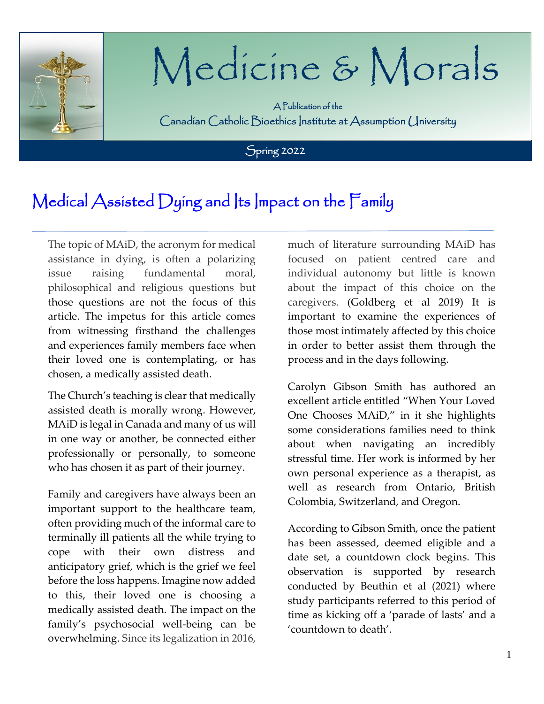

# Medicine & Morals

A Publication of the Canadian Catholic Bioethics Institute at Assumption University

֠

Spring 2022

### Medical Assisted Dying and Its Impact on the Family

The topic of MAiD, the acronym for medical assistance in dying, is often a polarizing issue raising fundamental moral, philosophical and religious questions but those questions are not the focus of this article. The impetus for this article comes from witnessing firsthand the challenges and experiences family members face when their loved one is contemplating, or has chosen, a medically assisted death.

The Church's teaching is clear that medically assisted death is morally wrong. However, MAiD is legal in Canada and many of us will in one way or another, be connected either professionally or personally, to someone who has chosen it as part of their journey.

Family and caregivers have always been an important support to the healthcare team, often providing much of the informal care to terminally ill patients all the while trying to cope with their own distress and anticipatory grief, which is the grief we feel before the loss happens. Imagine now added to this, their loved one is choosing a medically assisted death. The impact on the family's psychosocial well-being can be overwhelming. Since its legalization in 2016,

much of literature surrounding MAiD has focused on patient centred care and individual autonomy but little is known about the impact of this choice on the caregivers. (Goldberg et al 2019) It is important to examine the experiences of those most intimately affected by this choice in order to better assist them through the process and in the days following.

Carolyn Gibson Smith has authored an excellent article entitled "When Your Loved One Chooses MAiD," in it she highlights some considerations families need to think about when navigating an incredibly stressful time. Her work is informed by her own personal experience as a therapist, as well as research from Ontario, British Colombia, Switzerland, and Oregon.

According to Gibson Smith, once the patient has been assessed, deemed eligible and a date set, a countdown clock begins. This observation is supported by research conducted by Beuthin et al (2021) where study participants referred to this period of time as kicking off a 'parade of lasts' and a 'countdown to death'.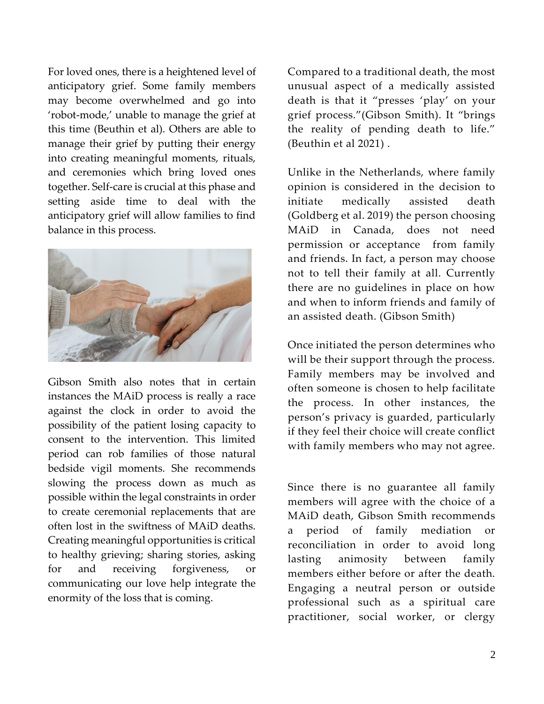For loved ones, there is a heightened level of anticipatory grief. Some family members may become overwhelmed and go into 'robot-mode,' unable to manage the grief at this time (Beuthin et al). Others are able to manage their grief by putting their energy into creating meaningful moments, rituals, and ceremonies which bring loved ones together. Self-care is crucial at this phase and setting aside time to deal with the anticipatory grief will allow families to find balance in this process.



Gibson Smith also notes that in certain instances the MAiD process is really a race against the clock in order to avoid the possibility of the patient losing capacity to consent to the intervention. This limited period can rob families of those natural bedside vigil moments. She recommends slowing the process down as much as possible within the legal constraints in order to create ceremonial replacements that are often lost in the swiftness of MAiD deaths. Creating meaningful opportunities is critical to healthy grieving; sharing stories, asking for and receiving forgiveness, or communicating our love help integrate the enormity of the loss that is coming.

Compared to a traditional death, the most unusual aspect of a medically assisted death is that it "presses 'play' on your grief process."(Gibson Smith). It "brings the reality of pending death to life." (Beuthin et al 2021) .

Unlike in the Netherlands, where family opinion is considered in the decision to initiate medically assisted death (Goldberg et al. 2019) the person choosing MAiD in Canada, does not need permission or acceptance from family and friends. In fact, a person may choose not to tell their family at all. Currently there are no guidelines in place on how and when to inform friends and family of an assisted death. (Gibson Smith)

Once initiated the person determines who will be their support through the process. Family members may be involved and often someone is chosen to help facilitate the process. In other instances, the person's privacy is guarded, particularly if they feel their choice will create conflict with family members who may not agree.

Since there is no guarantee all family members will agree with the choice of a MAiD death, Gibson Smith recommends a period of family mediation or reconciliation in order to avoid long lasting animosity between family members either before or after the death. Engaging a neutral person or outside professional such as a spiritual care practitioner, social worker, or clergy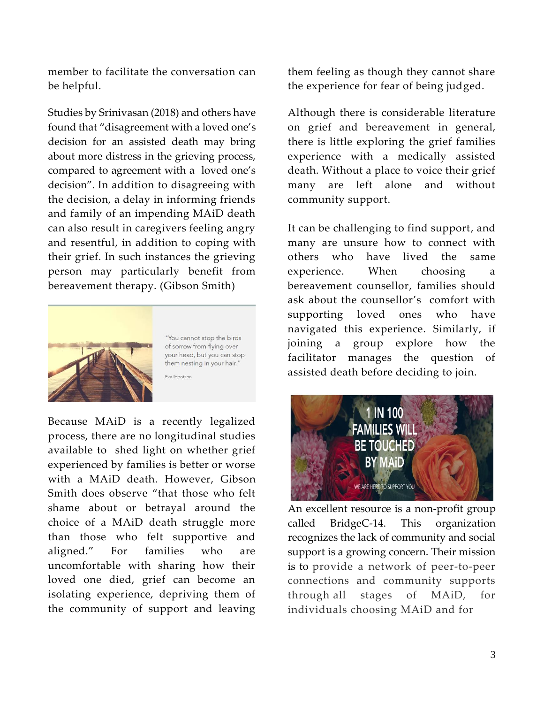member to facilitate the conversation can be helpful.

Studies by Srinivasan (2018) and others have found that "disagreement with a loved one's decision for an assisted death may bring about more distress in the grieving process, compared to agreement with a loved one's decision". In addition to disagreeing with the decision, a delay in informing friends and family of an impending MAiD death can also result in caregivers feeling angry and resentful, in addition to coping with their grief. In such instances the grieving person may particularly benefit from bereavement therapy. (Gibson Smith)



"You cannot stop the birds of sorrow from flying over your head, but you can stop them nesting in your hair." Eva Ibbotson

Because MAiD is a recently legalized process, there are no longitudinal studies available to shed light on whether grief experienced by families is better or worse with a MAiD death. However, Gibson Smith does observe "that those who felt shame about or betrayal around the choice of a MAiD death struggle more than those who felt supportive and aligned." For families who are uncomfortable with sharing how their loved one died, grief can become an isolating experience, depriving them of the community of support and leaving them feeling as though they cannot share the experience for fear of being judged.

Although there is considerable literature on grief and bereavement in general, there is little exploring the grief families experience with a medically assisted death. Without a place to voice their grief many are left alone and without community support.

It can be challenging to find support, and many are unsure how to connect with others who have lived the same experience. When choosing a bereavement counsellor, families should ask about the counsellor's comfort with supporting loved ones who have navigated this experience. Similarly, if joining a group explore how the facilitator manages the question of assisted death before deciding to join.



An excellent resource is a non-profit group called BridgeC-14. This organization recognizes the lack of community and social support is a growing concern. Their mission is to provide a network of peer-to-peer connections and community supports through all stages of MAiD, for individuals choosing MAiD and for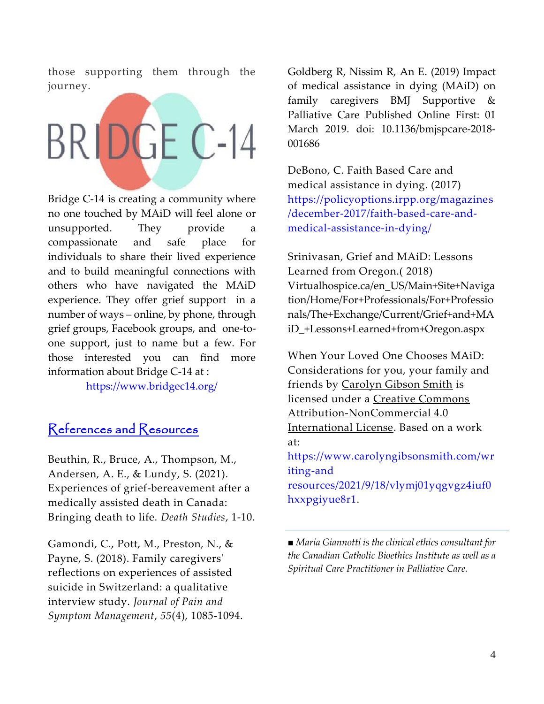those supporting them through the journey.

# BRIDGE C-14

Bridge C-14 is creating a community where no one touched by MAiD will feel alone or unsupported. They provide a compassionate and safe place for individuals to share their lived experience and to build meaningful connections with others who have navigated the MAiD experience. They offer grief support in a number of ways – online, by phone, through grief groups, Facebook groups, and one-toone support, just to name but a few. For those interested you can find more information about Bridge C-14 at :

<https://www.bridgec14.org/>

#### References and Resources

Beuthin, R., Bruce, A., Thompson, M., Andersen, A. E., & Lundy, S. (2021). Experiences of grief-bereavement after a medically assisted death in Canada: Bringing death to life. *Death Studies*, 1-10.

Gamondi, C., Pott, M., Preston, N., & Payne, S. (2018). Family caregivers' reflections on experiences of assisted suicide in Switzerland: a qualitative interview study. *Journal of Pain and Symptom Management*, *55*(4), 1085-1094. Goldberg R, Nissim R, An E. (2019) Impact of medical assistance in dying (MAiD) on family caregivers BMJ Supportive & Palliative Care Published Online First: 01 March 2019. doi: 10.1136/bmjspcare-2018- 001686

DeBono, C. Faith Based Care and medical assistance in dying. (2017) [https://policyoptions.irpp.org/magazines](https://policyoptions.irpp.org/magazines/december-2017/faith-based-care-and-medical-assistance-in-dying/) [/december-2017/faith-based-care-and](https://policyoptions.irpp.org/magazines/december-2017/faith-based-care-and-medical-assistance-in-dying/)[medical-assistance-in-dying/](https://policyoptions.irpp.org/magazines/december-2017/faith-based-care-and-medical-assistance-in-dying/)

Srinivasan, Grief and MAiD: Lessons Learned from Oregon.( 2018) Virtualhospice.ca/en\_US/Main+Site+Naviga tion/Home/For+Professionals/For+Professio nals/The+Exchange/Current/Grief+and+MA iD\_+Lessons+Learned+from+Oregon.aspx

When Your Loved One Chooses MAiD: Considerations for you, your family and friends by [Carolyn Gibson Smith](http://carolyngibsonsmith.com/) is licensed under a [Creative Commons](http://creativecommons.org/licenses/by-nc/4.0/)  [Attribution-NonCommercial 4.0](http://creativecommons.org/licenses/by-nc/4.0/)  [International License.](http://creativecommons.org/licenses/by-nc/4.0/) Based on a work at: [https://www.carolyngibsonsmith.com/wr](https://www.carolyngibsonsmith.com/writing-and%20resources/2021/9/18/vlymj01yqgvgz4iuf0hxxpgiyue8r1) [iting-and](https://www.carolyngibsonsmith.com/writing-and%20resources/2021/9/18/vlymj01yqgvgz4iuf0hxxpgiyue8r1) 

[resources/2021/9/18/vlymj01yqgvgz4iuf0](https://www.carolyngibsonsmith.com/writing-and%20resources/2021/9/18/vlymj01yqgvgz4iuf0hxxpgiyue8r1) [hxxpgiyue8r1.](https://www.carolyngibsonsmith.com/writing-and%20resources/2021/9/18/vlymj01yqgvgz4iuf0hxxpgiyue8r1)

■ *Maria Giannotti is the clinical ethics consultant for the Canadian Catholic Bioethics Institute as well as a Spiritual Care Practitioner in Palliative Care.*